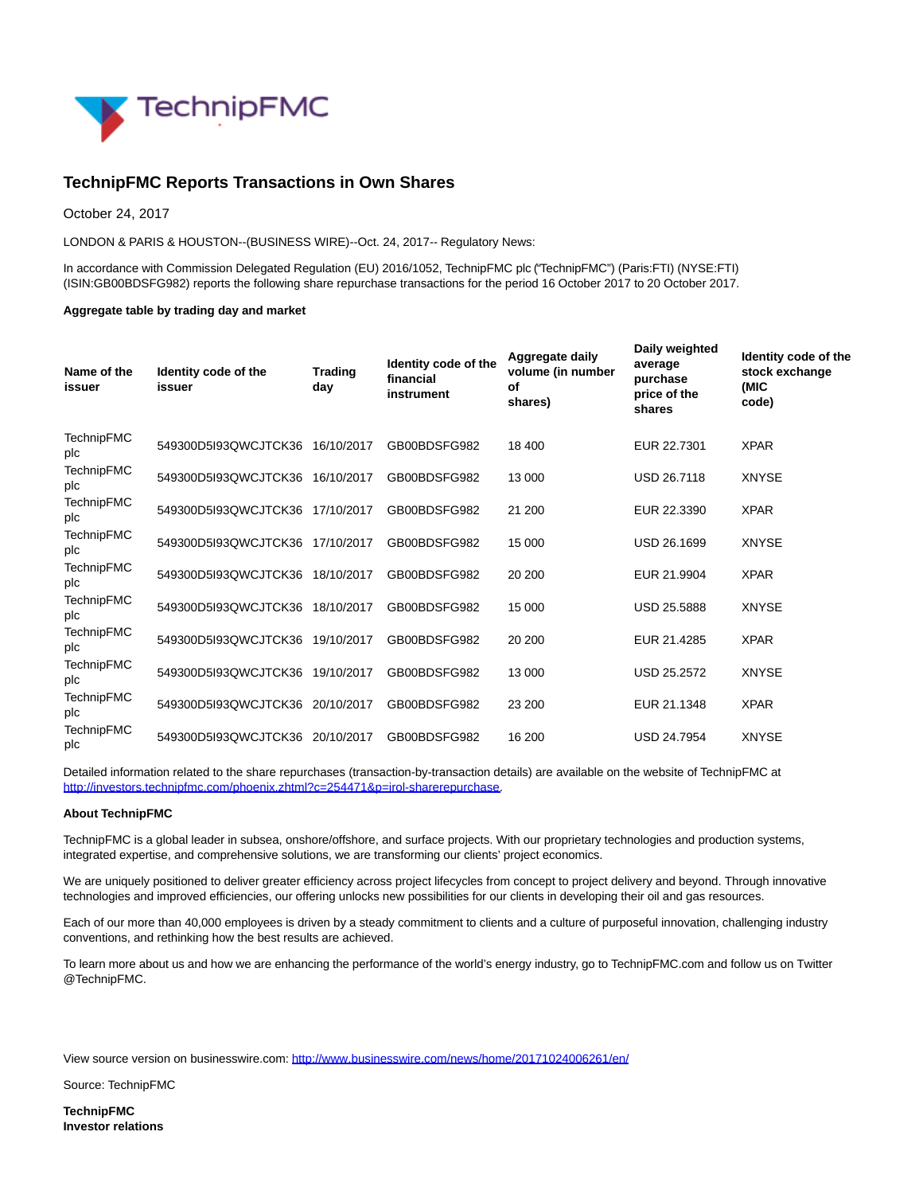

## **TechnipFMC Reports Transactions in Own Shares**

October 24, 2017

LONDON & PARIS & HOUSTON--(BUSINESS WIRE)--Oct. 24, 2017-- Regulatory News:

In accordance with Commission Delegated Regulation (EU) 2016/1052, TechnipFMC plc ("TechnipFMC") (Paris:FTI) (NYSE:FTI) (ISIN:GB00BDSFG982) reports the following share repurchase transactions for the period 16 October 2017 to 20 October 2017.

## **Aggregate table by trading day and market**

| Name of the<br>issuer    | Identity code of the<br>issuer  | <b>Trading</b><br>day | Identity code of the<br>financial<br>instrument | Aggregate daily<br>volume (in number<br>οf<br>shares) | Daily weighted<br>average<br>purchase<br>price of the<br>shares | Identity code of the<br>stock exchange<br>(MIC<br>code) |
|--------------------------|---------------------------------|-----------------------|-------------------------------------------------|-------------------------------------------------------|-----------------------------------------------------------------|---------------------------------------------------------|
| <b>TechnipFMC</b><br>plc | 549300D5I93QWCJTCK36 16/10/2017 |                       | GB00BDSFG982                                    | 18 400                                                | EUR 22.7301                                                     | <b>XPAR</b>                                             |
| <b>TechnipFMC</b><br>plc | 549300D5I93QWCJTCK36 16/10/2017 |                       | GB00BDSFG982                                    | 13 000                                                | <b>USD 26.7118</b>                                              | <b>XNYSE</b>                                            |
| <b>TechnipFMC</b><br>plc | 549300D5I93QWCJTCK36            | 17/10/2017            | GB00BDSFG982                                    | 21 200                                                | EUR 22,3390                                                     | <b>XPAR</b>                                             |
| <b>TechnipFMC</b><br>plc | 549300D5I93QWCJTCK36            | 17/10/2017            | GB00BDSFG982                                    | 15 000                                                | <b>USD 26.1699</b>                                              | <b>XNYSE</b>                                            |
| <b>TechnipFMC</b><br>plc | 549300D5I93QWCJTCK36            | 18/10/2017            | GB00BDSFG982                                    | 20 200                                                | EUR 21.9904                                                     | <b>XPAR</b>                                             |
| <b>TechnipFMC</b><br>plc | 549300D5I93QWCJTCK36            | 18/10/2017            | GB00BDSFG982                                    | 15 000                                                | <b>USD 25.5888</b>                                              | <b>XNYSE</b>                                            |
| <b>TechnipFMC</b><br>plc | 549300D5I93QWCJTCK36 19/10/2017 |                       | GB00BDSFG982                                    | 20 200                                                | EUR 21.4285                                                     | <b>XPAR</b>                                             |
| <b>TechnipFMC</b><br>plc | 549300D5I93QWCJTCK36 19/10/2017 |                       | GB00BDSFG982                                    | 13 000                                                | <b>USD 25.2572</b>                                              | <b>XNYSE</b>                                            |
| <b>TechnipFMC</b><br>plc | 549300D5I93QWCJTCK36            | 20/10/2017            | GB00BDSFG982                                    | 23 200                                                | EUR 21.1348                                                     | <b>XPAR</b>                                             |
| <b>TechnipFMC</b><br>plc | 549300D5I93QWCJTCK36            | 20/10/2017            | GB00BDSFG982                                    | 16 200                                                | <b>USD 24.7954</b>                                              | <b>XNYSE</b>                                            |

Detailed information related to the share repurchases (transaction-by-transaction details) are available on the website of TechnipFMC at [http://investors.technipfmc.com/phoenix.zhtml?c=254471&p=irol-sharerepurchase.](http://cts.businesswire.com/ct/CT?id=smartlink&url=http%3A%2F%2Finvestors.technipfmc.com%2Fphoenix.zhtml%3Fc%3D254471%26p%3Dirol-sharerepurchase&esheet=51704212&newsitemid=20171024006261&lan=en-US&anchor=http%3A%2F%2Finvestors.technipfmc.com%2Fphoenix.zhtml%3Fc%3D254471%26p%3Dirol-sharerepurchase&index=1&md5=e75c58733ebdeaf065518267c9316288)

## **About TechnipFMC**

TechnipFMC is a global leader in subsea, onshore/offshore, and surface projects. With our proprietary technologies and production systems, integrated expertise, and comprehensive solutions, we are transforming our clients' project economics.

We are uniquely positioned to deliver greater efficiency across project lifecycles from concept to project delivery and beyond. Through innovative technologies and improved efficiencies, our offering unlocks new possibilities for our clients in developing their oil and gas resources.

Each of our more than 40,000 employees is driven by a steady commitment to clients and a culture of purposeful innovation, challenging industry conventions, and rethinking how the best results are achieved.

To learn more about us and how we are enhancing the performance of the world's energy industry, go to TechnipFMC.com and follow us on Twitter @TechnipFMC.

View source version on businesswire.com:<http://www.businesswire.com/news/home/20171024006261/en/>

Source: TechnipFMC